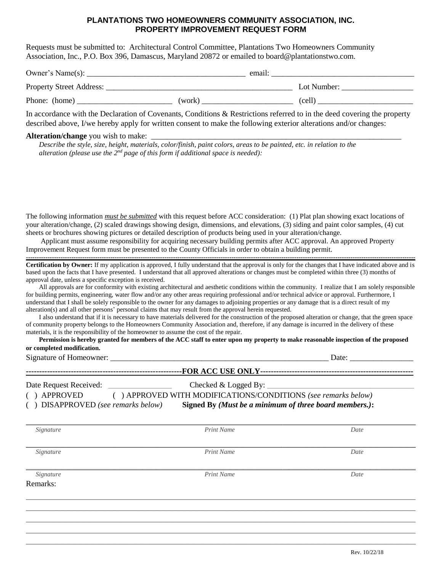## **PLANTATIONS TWO HOMEOWNERS COMMUNITY ASSOCIATION, INC. PROPERTY IMPROVEMENT REQUEST FORM**

Requests must be submitted to: Architectural Control Committee, Plantations Two Homeowners Community Association, Inc., P.O. Box 396, Damascus, Maryland 20872 or emailed to board@plantationstwo.com.

| Owner's Name(s):         |        | email: |             |  |
|--------------------------|--------|--------|-------------|--|
| Property Street Address: |        |        | Lot Number: |  |
| Phone: (home)            | (work) |        | (cell)      |  |

In accordance with the Declaration of Covenants, Conditions & Restrictions referred to in the deed covering the property described above, I/we hereby apply for written consent to make the following exterior alterations and/or changes:

## **Alteration/change** you wish to make:

Remarks:

*Describe the style, size, height, materials, color/finish, paint colors, areas to be painted, etc. in relation to the* alteration (please use the 2<sup>nd</sup> page of this form if additional space is needed):

The following information *must be submitted* with this request before ACC consideration: (1) Plat plan showing exact locations of your alteration/change, (2) scaled drawings showing design, dimensions, and elevations, (3) siding and paint color samples, (4) cut sheets or brochures showing pictures or detailed description of products being used in your alteration/change.

Applicant must assume responsibility for acquiring necessary building permits after ACC approval. An approved Property Improvement Request form must be presented to the County Officials in order to obtain a building permit.

**------------------------------------------------------------------------------------------------------------------------------------------------------------------------------------ Certification by Owner:** If my application is approved, I fully understand that the approval is only for the changes that I have indicated above and is based upon the facts that I have presented. I understand that all approved alterations or changes must be completed within three (3) months of approval date, unless a specific exception is received.

All approvals are for conformity with existing architectural and aesthetic conditions within the community. I realize that I am solely responsible for building permits, engineering, water flow and/or any other areas requiring professional and/or technical advice or approval. Furthermore, I understand that I shall be solely responsible to the owner for any damages to adjoining properties or any damage that is a direct result of my alteration(s) and all other persons' personal claims that may result from the approval herein requested.

I also understand that if it is necessary to have materials delivered for the construction of the proposed alteration or change, that the green space of community property belongs to the Homeowners Community Association and, therefore, if any damage is incurred in the delivery of these materials, it is the responsibility of the homeowner to assume the cost of the repair.

| Permission is hereby granted for members of the ACC staff to enter upon my property to make reasonable inspection of the proposed |  |
|-----------------------------------------------------------------------------------------------------------------------------------|--|
| or completed modification.                                                                                                        |  |

| Signature of Homeowner:                                                                                                                                                   | Date:                  |      |  |
|---------------------------------------------------------------------------------------------------------------------------------------------------------------------------|------------------------|------|--|
| Date Request Received:                                                                                                                                                    | Checked $&$ Logged By: |      |  |
| () APPROVED WITH MODIFICATIONS/CONDITIONS (see remarks below)<br>APPROVED<br>Signed By (Must be a minimum of three board members.):<br>() DISAPPROVED (see remarks below) |                        |      |  |
| Signature                                                                                                                                                                 | Print Name             | Date |  |
| Signature                                                                                                                                                                 | Print Name             | Date |  |
|                                                                                                                                                                           |                        |      |  |

 $\_$  ,  $\_$  ,  $\_$  ,  $\_$  ,  $\_$  ,  $\_$  ,  $\_$  ,  $\_$  ,  $\_$  ,  $\_$  ,  $\_$  ,  $\_$  ,  $\_$  ,  $\_$  ,  $\_$  ,  $\_$  ,  $\_$  ,  $\_$  ,  $\_$  ,  $\_$  ,  $\_$  ,  $\_$  ,  $\_$  ,  $\_$  ,  $\_$  ,  $\_$  ,  $\_$  ,  $\_$  ,  $\_$  ,  $\_$  ,  $\_$  ,  $\_$  ,  $\_$  ,  $\_$  ,  $\_$  ,  $\_$  ,  $\_$  ,  $\_$  ,  $\_$  ,  $\_$  ,  $\_$  ,  $\_$  ,  $\_$  ,  $\_$  ,  $\_$  ,  $\_$  ,  $\_$  ,  $\_$  ,  $\_$  ,  $\_$  ,  $\_$  ,  $\_$  ,  $\_$  ,  $\_$  ,  $\_$  ,  $\_$  ,  $\_$  ,  $\_$  ,  $\_$  ,  $\_$  ,  $\_$  ,  $\_$  ,  $\_$  ,  $\_$  ,  $\_$  ,  $\_$  ,  $\_$  ,  $\_$  ,  $\_$  ,  $\_$  ,  $\_$  ,  $\_$  ,  $\_$  ,  $\_$  ,  $\_$  ,  $\_$  ,  $\_$  ,  $\_$  ,  $\_$  ,  $\_$  ,  $\_$  ,  $\_$  ,  $\_$  ,  $\_$  ,  $\_$  ,  $\_$  ,  $\_$  ,  $\_$  ,  $\_$  ,  $\_$  ,  $\_$  ,  $\_$  ,  $\_$  ,  $\_$  ,  $\_$  ,  $\_$  ,  $\_$  ,  $\_$  ,  $\_$  ,  $\_$  ,  $\_$  ,  $\_$  ,  $\_$  ,  $\_$  ,  $\_$  ,  $\_$  ,  $\_$  ,  $\_$  ,  $\_$  ,  $\_$  ,  $\_$  ,  $\_$  ,  $\_$  ,  $\_$  ,  $\_$  ,  $\_$  ,  $\_$  ,  $\_$  ,  $\_$  ,  $\_$  ,  $\_$  ,  $\_$  ,  $\_$  ,  $\_$  ,  $\_$  ,  $\_$  ,  $\_$  ,  $\_$  ,  $\_$  ,  $\_$  ,  $\_$  ,  $\_$  ,  $\_$  ,  $\_$  ,  $\_$  ,  $\_$  ,  $\_$  ,  $\_$  ,  $\_$  ,  $\_$  ,  $\_$  ,  $\_$  ,  $\_$  ,  $\_$  ,  $\_$  ,  $\_$  ,  $\_$  ,  $\_$  ,  $\_$  , and the set of the set of the set of the set of the set of the set of the set of the set of the set of the set of the set of the set of the set of the set of the set of the set of the set of the set of the set of th

 *Signature Print Name Date*

Rev. 10/22/18